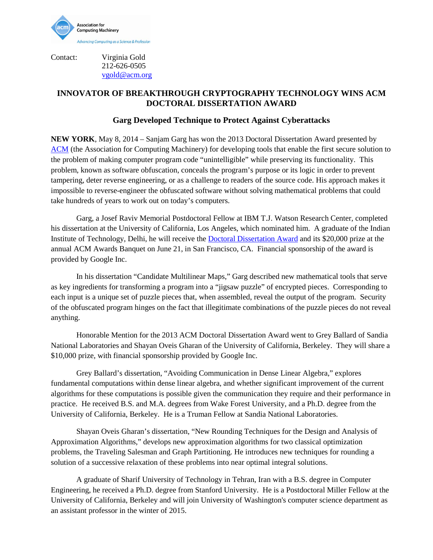

Contact: Virginia Gold

212-626-0505 [vgold@acm.org](mailto:v_gold@acm.org)

## **INNOVATOR OF BREAKTHROUGH CRYPTOGRAPHY TECHNOLOGY WINS ACM DOCTORAL DISSERTATION AWARD**

## **Garg Developed Technique to Protect Against Cyberattacks**

**NEW YORK**, May 8, 2014 – Sanjam Garg has won the 2013 Doctoral Dissertation Award presented by [ACM](http://www.acm.org/) (the Association for Computing Machinery) for developing tools that enable the first secure solution to the problem of making computer program code "unintelligible" while preserving its functionality. This problem, known as software obfuscation, conceals the program's purpose or its logic in order to prevent tampering, deter reverse engineering, or as a challenge to readers of the source code. His approach makes it impossible to reverse-engineer the obfuscated software without solving mathematical problems that could take hundreds of years to work out on today's computers.

Garg, a Josef Raviv Memorial Postdoctoral Fellow at IBM T.J. Watson Research Center, completed his dissertation at the University of California, Los Angeles, which nominated him. A graduate of the Indian Institute of Technology, Delhi, he will receive the [Doctoral Dissertation Award](http://awards.acm.org/doctoral_dissertation/) and its \$20,000 prize at the annual ACM Awards Banquet on June 21, in San Francisco, CA. Financial sponsorship of the award is provided by Google Inc.

In his dissertation "Candidate Multilinear Maps," Garg described new mathematical tools that serve as key ingredients for transforming a program into a "jigsaw puzzle" of encrypted pieces. Corresponding to each input is a unique set of puzzle pieces that, when assembled, reveal the output of the program. Security of the obfuscated program hinges on the fact that illegitimate combinations of the puzzle pieces do not reveal anything.

Honorable Mention for the 2013 ACM Doctoral Dissertation Award went to Grey Ballard of Sandia National Laboratories and Shayan Oveis Gharan of the University of California, Berkeley. They will share a \$10,000 prize, with financial sponsorship provided by Google Inc.

Grey Ballard's dissertation, "Avoiding Communication in Dense Linear Algebra," explores fundamental computations within dense linear algebra, and whether significant improvement of the current algorithms for these computations is possible given the communication they require and their performance in practice. He received B.S. and M.A. degrees from Wake Forest University, and a Ph.D. degree from the University of California, Berkeley. He is a Truman Fellow at Sandia National Laboratories.

Shayan Oveis Gharan's dissertation, "New Rounding Techniques for the Design and Analysis of Approximation Algorithms," develops new approximation algorithms for two classical optimization problems, the Traveling Salesman and Graph Partitioning. He introduces new techniques for rounding a solution of a successive relaxation of these problems into near optimal integral solutions.

A graduate of Sharif University of Technology in Tehran, Iran with a B.S. degree in Computer Engineering, he received a Ph.D. degree from Stanford University. He is a Postdoctoral Miller Fellow at the University of California, Berkeley and will join University of Washington's computer science department as an assistant professor in the winter of 2015.